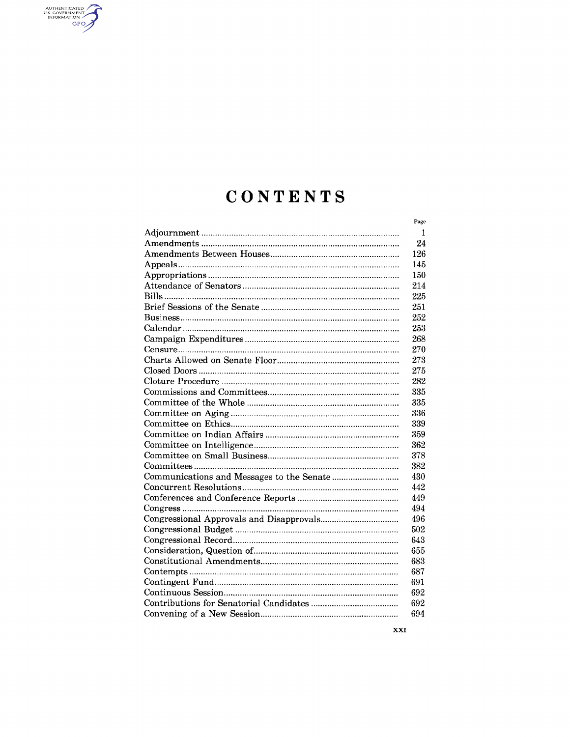# CONTENTS

AUTHENTICATED

| Page |
|------|
| 1    |
| 24   |
| 126  |
| 145  |
| 150  |
| 214  |
| 225  |
| 251  |
| 252  |
| 253  |
| 268  |
| 270  |
| 273  |
| 275  |
| 282  |
| 335  |
| 335  |
| 336  |
| 339  |
| 359  |
| 362  |
| 378  |
| 382  |
| 430  |
| 442  |
| 449  |
| 494  |
| 496  |
| 502  |
| 643  |
| 655  |
| 683  |
| 687  |
| 691  |
| 692  |
| 692  |
| 694  |

**XXI**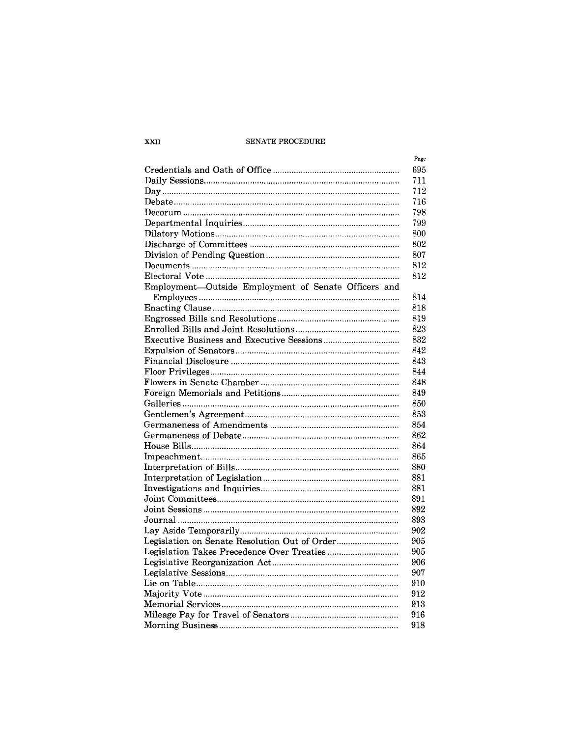#### ${\tt SENATE}$  PROCEDURE

|                                                      | Page       |
|------------------------------------------------------|------------|
|                                                      | 695        |
|                                                      | 711        |
| $Day \dots$                                          | 712        |
|                                                      | 716        |
|                                                      | 798        |
|                                                      | 799        |
|                                                      | 800        |
|                                                      | 802        |
|                                                      | 807        |
|                                                      | 812        |
|                                                      | 812        |
| Employment-Outside Employment of Senate Officers and |            |
|                                                      | 814        |
|                                                      | 818        |
|                                                      | 819        |
|                                                      | 823        |
| <b>Executive Business and Executive Sessions</b>     | 832        |
|                                                      | 842        |
|                                                      | 843        |
|                                                      | 844        |
|                                                      | 848        |
|                                                      | 849        |
|                                                      | 850        |
|                                                      | 853        |
|                                                      | 854        |
|                                                      | 862        |
|                                                      | 864        |
|                                                      | 865        |
|                                                      | 880        |
|                                                      |            |
|                                                      | 881<br>881 |
|                                                      |            |
|                                                      | 891        |
|                                                      | 892        |
|                                                      | 893        |
|                                                      | 902        |
|                                                      | 905        |
|                                                      | 905        |
|                                                      | 906        |
|                                                      | 907        |
|                                                      | 910        |
|                                                      | 912        |
|                                                      | 913        |
|                                                      | 916        |
|                                                      | 918        |

XXII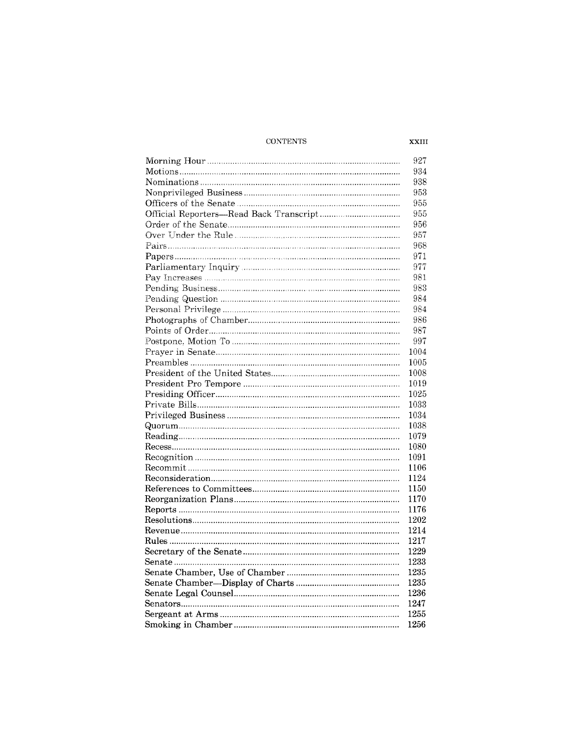#### $\textsc{CONTENTS}$

| 927  |
|------|
| 934  |
| 938  |
| 953  |
| 955  |
| 955  |
| 956  |
| 957  |
| 968  |
| 971  |
| 977  |
| 981  |
| 983  |
| 984  |
| 984  |
| 986  |
| 987  |
| 997  |
| 1004 |
| 1005 |
|      |
| 1008 |
| 1019 |
| 1025 |
| 1033 |
| 1034 |
| 1038 |
| 1079 |
| 1080 |
| 1091 |
| 1106 |
| 1124 |
| 1150 |
| 1170 |
| 1176 |
| 1202 |
| 1214 |
| 1217 |
| 1229 |
| 1233 |
| 1235 |
| 1235 |
| 1236 |
| 1247 |
| 1255 |
| 1256 |

XXIII